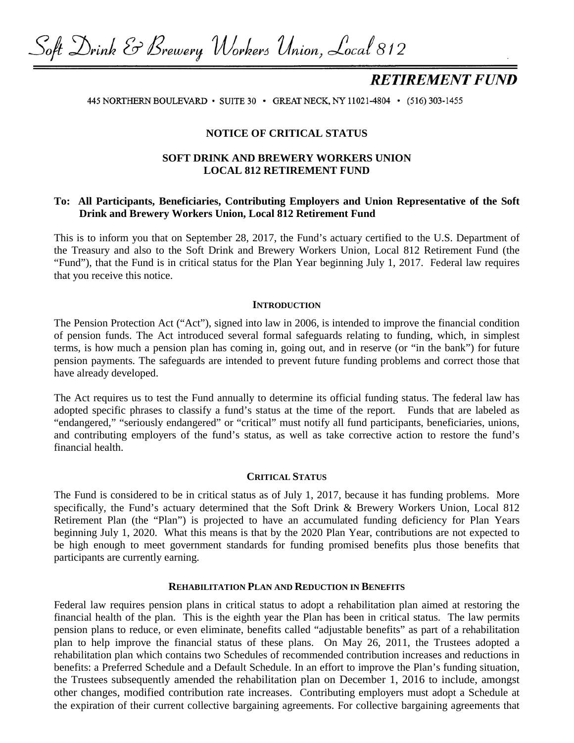Soft Drink & Brewery Workers Union, Local 812

# **RETIREMENT FUND**

445 NORTHERN BOULEVARD • SUITE 30 • GREAT NECK, NY 11021-4804 • (516) 303-1455

## **NOTICE OF CRITICAL STATUS**

# **SOFT DRINK AND BREWERY WORKERS UNION LOCAL 812 RETIREMENT FUND**

# **To: All Participants, Beneficiaries, Contributing Employers and Union Representative of the Soft Drink and Brewery Workers Union, Local 812 Retirement Fund**

This is to inform you that on September 28, 2017, the Fund's actuary certified to the U.S. Department of the Treasury and also to the Soft Drink and Brewery Workers Union, Local 812 Retirement Fund (the "Fund"), that the Fund is in critical status for the Plan Year beginning July 1, 2017. Federal law requires that you receive this notice.

#### **INTRODUCTION**

The Pension Protection Act ("Act"), signed into law in 2006, is intended to improve the financial condition of pension funds. The Act introduced several formal safeguards relating to funding, which, in simplest terms, is how much a pension plan has coming in, going out, and in reserve (or "in the bank") for future pension payments. The safeguards are intended to prevent future funding problems and correct those that have already developed.

The Act requires us to test the Fund annually to determine its official funding status. The federal law has adopted specific phrases to classify a fund's status at the time of the report. Funds that are labeled as "endangered," "seriously endangered" or "critical" must notify all fund participants, beneficiaries, unions, and contributing employers of the fund's status, as well as take corrective action to restore the fund's financial health.

#### **CRITICAL STATUS**

The Fund is considered to be in critical status as of July 1, 2017, because it has funding problems. More specifically, the Fund's actuary determined that the Soft Drink & Brewery Workers Union, Local 812 Retirement Plan (the "Plan") is projected to have an accumulated funding deficiency for Plan Years beginning July 1, 2020. What this means is that by the 2020 Plan Year, contributions are not expected to be high enough to meet government standards for funding promised benefits plus those benefits that participants are currently earning.

#### **REHABILITATION PLAN AND REDUCTION IN BENEFITS**

Federal law requires pension plans in critical status to adopt a rehabilitation plan aimed at restoring the financial health of the plan. This is the eighth year the Plan has been in critical status. The law permits pension plans to reduce, or even eliminate, benefits called "adjustable benefits" as part of a rehabilitation plan to help improve the financial status of these plans. On May 26, 2011, the Trustees adopted a rehabilitation plan which contains two Schedules of recommended contribution increases and reductions in benefits: a Preferred Schedule and a Default Schedule. In an effort to improve the Plan's funding situation, the Trustees subsequently amended the rehabilitation plan on December 1, 2016 to include, amongst other changes, modified contribution rate increases. Contributing employers must adopt a Schedule at the expiration of their current collective bargaining agreements. For collective bargaining agreements that